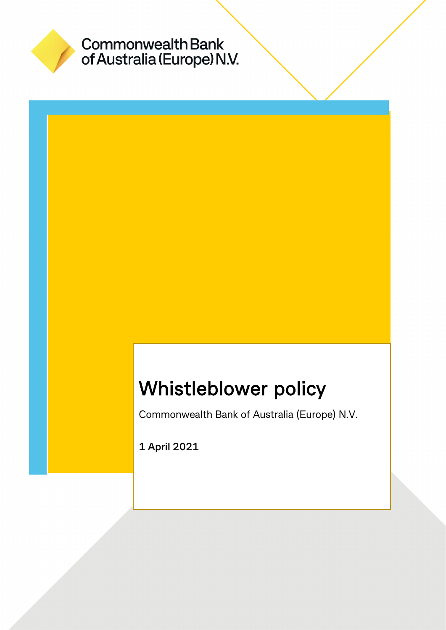

# Commonwealth Bank<br>of Australia (Europe) N.V.

## Whistleblower policy

Commonwealth Bank of Australia (Europe) N.V.

**1 April 2021**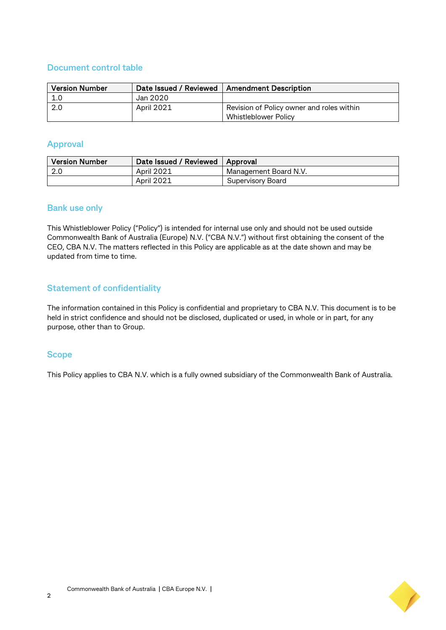#### **Document control table**

| <b>Version Number</b> |            | Date Issued / Reviewed   Amendment Description |
|-----------------------|------------|------------------------------------------------|
| 1.0                   | Jan 2020   |                                                |
| -2.0                  | April 2021 | Revision of Policy owner and roles within      |
|                       |            | Whistleblower Policy                           |

#### **Approval**

| <b>Version Number</b> | Date Issued / Reviewed   Approval |                       |
|-----------------------|-----------------------------------|-----------------------|
|                       | April 2021                        | Management Board N.V. |
|                       | <b>April 2021</b>                 | Supervisory Board     |

#### **Bank use only**

This Whistleblower Policy ("Policy") is intended for internal use only and should not be used outside Commonwealth Bank of Australia (Europe) N.V. ("CBA N.V.") without first obtaining the consent of the CEO, CBA N.V. The matters reflected in this Policy are applicable as at the date shown and may be updated from time to time.

#### **Statement of confidentiality**

The information contained in this Policy is confidential and proprietary to CBA N.V. This document is to be held in strict confidence and should not be disclosed, duplicated or used, in whole or in part, for any purpose, other than to Group.

#### **Scope**

This Policy applies to CBA N.V. which is a fully owned subsidiary of the Commonwealth Bank of Australia.

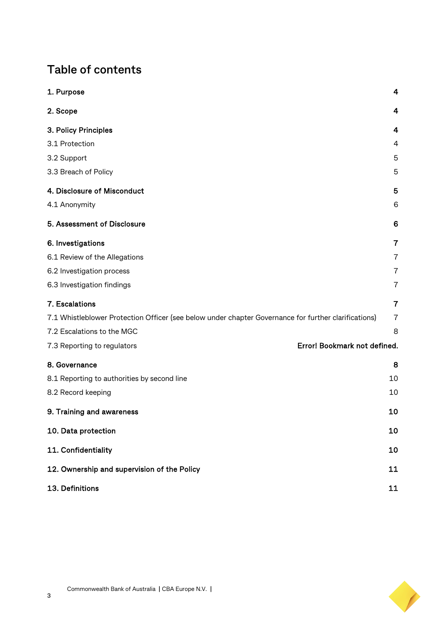## **Table of contents**

| 1. Purpose                                                                                           | 4              |
|------------------------------------------------------------------------------------------------------|----------------|
| 2. Scope                                                                                             | 4              |
| 3. Policy Principles                                                                                 | 4              |
| 3.1 Protection                                                                                       | 4              |
| 3.2 Support                                                                                          | 5              |
| 3.3 Breach of Policy                                                                                 | 5              |
| 4. Disclosure of Misconduct                                                                          | 5              |
| 4.1 Anonymity                                                                                        | 6              |
| 5. Assessment of Disclosure                                                                          | 6              |
| 6. Investigations                                                                                    | 7              |
| 6.1 Review of the Allegations                                                                        | $\overline{7}$ |
| 6.2 Investigation process                                                                            | 7              |
| 6.3 Investigation findings                                                                           | $\overline{7}$ |
| 7. Escalations                                                                                       | $\overline{7}$ |
| 7.1 Whistleblower Protection Officer (see below under chapter Governance for further clarifications) | $\overline{7}$ |
| 7.2 Escalations to the MGC                                                                           | 8              |
| Error! Bookmark not defined.<br>7.3 Reporting to regulators                                          |                |
| 8. Governance                                                                                        | 8              |
| 8.1 Reporting to authorities by second line                                                          | 10             |
| 8.2 Record keeping                                                                                   | 10             |
| 9. Training and awareness                                                                            | 10             |
| 10. Data protection                                                                                  | 10             |
| 11. Confidentiality                                                                                  | 10             |
| 12. Ownership and supervision of the Policy                                                          | 11             |
| 13. Definitions                                                                                      | 11             |

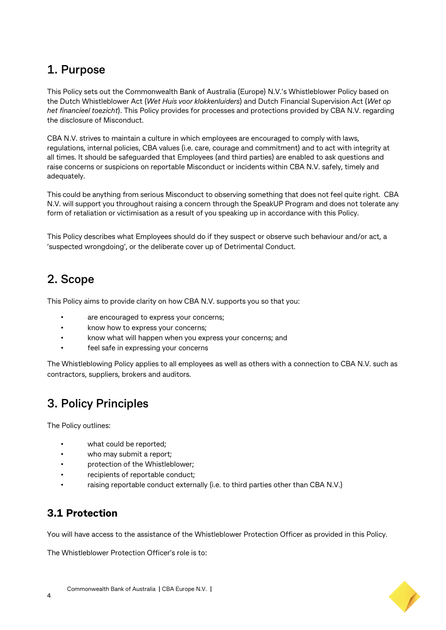## <span id="page-3-0"></span>**1. Purpose**

This Policy sets out the Commonwealth Bank of Australia (Europe) N.V.'s Whistleblower Policy based on the Dutch Whistleblower Act (*Wet Huis voor klokkenluiders*) and Dutch Financial Supervision Act (*Wet op het financieel toezicht*). This Policy provides for processes and protections provided by CBA N.V. regarding the disclosure of Misconduct.

CBA N.V. strives to maintain a culture in which employees are encouraged to comply with laws, regulations, internal policies, CBA values (i.e. care, courage and commitment) and to act with integrity at all times. It should be safeguarded that Employees (and third parties) are enabled to ask questions and raise concerns or suspicions on reportable Misconduct or incidents within CBA N.V. safely, timely and adequately.

This could be anything from serious Misconduct to observing something that does not feel quite right. CBA N.V. will support you throughout raising a concern through the SpeakUP Program and does not tolerate any form of retaliation or victimisation as a result of you speaking up in accordance with this Policy.

This Policy describes what Employees should do if they suspect or observe such behaviour and/or act, a 'suspected wrongdoing', or the deliberate cover up of Detrimental Conduct.

## <span id="page-3-1"></span>**2. Scope**

This Policy aims to provide clarity on how CBA N.V. supports you so that you:

- are encouraged to express your concerns;
- know how to express your concerns;
- know what will happen when you express your concerns; and
- feel safe in expressing your concerns

The Whistleblowing Policy applies to all employees as well as others with a connection to CBA N.V. such as contractors, suppliers, brokers and auditors.

#### <span id="page-3-2"></span>**3. Policy Principles**

The Policy outlines:

- what could be reported;
- who may submit a report;
- protection of the Whistleblower;
- recipients of reportable conduct;
- raising reportable conduct externally (i.e. to third parties other than CBA N.V.)

#### <span id="page-3-3"></span>**3.1 Protection**

You will have access to the assistance of the Whistleblower Protection Officer as provided in this Policy.

The Whistleblower Protection Officer's role is to: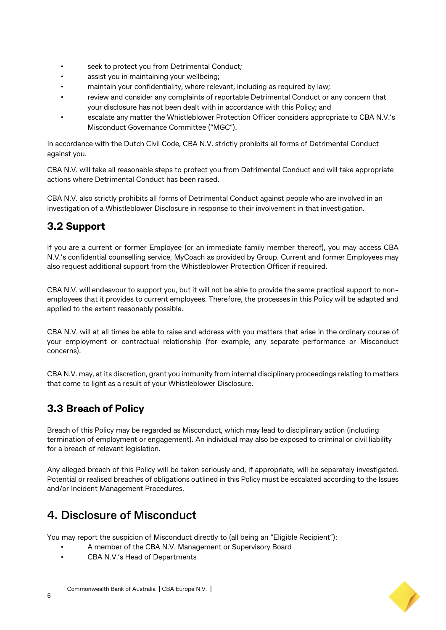- seek to protect you from Detrimental Conduct;
- assist you in maintaining your wellbeing;
- maintain your confidentiality, where relevant, including as required by law;
- review and consider any complaints of reportable Detrimental Conduct or any concern that your disclosure has not been dealt with in accordance with this Policy; and
- escalate any matter the Whistleblower Protection Officer considers appropriate to CBA N.V.'s Misconduct Governance Committee ("MGC").

In accordance with the Dutch Civil Code, CBA N.V. strictly prohibits all forms of Detrimental Conduct against you.

CBA N.V. will take all reasonable steps to protect you from Detrimental Conduct and will take appropriate actions where Detrimental Conduct has been raised.

CBA N.V. also strictly prohibits all forms of Detrimental Conduct against people who are involved in an investigation of a Whistleblower Disclosure in response to their involvement in that investigation.

#### <span id="page-4-0"></span>**3.2 Support**

If you are a current or former Employee (or an immediate family member thereof), you may access CBA N.V.'s confidential counselling service, MyCoach as provided by Group. Current and former Employees may also request additional support from the Whistleblower Protection Officer if required.

CBA N.V. will endeavour to support you, but it will not be able to provide the same practical support to nonemployees that it provides to current employees. Therefore, the processes in this Policy will be adapted and applied to the extent reasonably possible.

CBA N.V. will at all times be able to raise and address with you matters that arise in the ordinary course of your employment or contractual relationship (for example, any separate performance or Misconduct concerns).

CBA N.V. may, at its discretion, grant you immunity from internal disciplinary proceedings relating to matters that come to light as a result of your Whistleblower Disclosure.

#### <span id="page-4-1"></span>**3.3 Breach of Policy**

Breach of this Policy may be regarded as Misconduct, which may lead to disciplinary action (including termination of employment or engagement). An individual may also be exposed to criminal or civil liability for a breach of relevant legislation.

Any alleged breach of this Policy will be taken seriously and, if appropriate, will be separately investigated. Potential or realised breaches of obligations outlined in this Policy must be escalated according to the Issues and/or Incident Management Procedures.

#### <span id="page-4-2"></span>**4. Disclosure of Misconduct**

You may report the suspicion of Misconduct directly to (all being an "Eligible Recipient"):

- A member of the CBA N.V. Management or Supervisory Board
- CBA N.V.'s Head of Departments

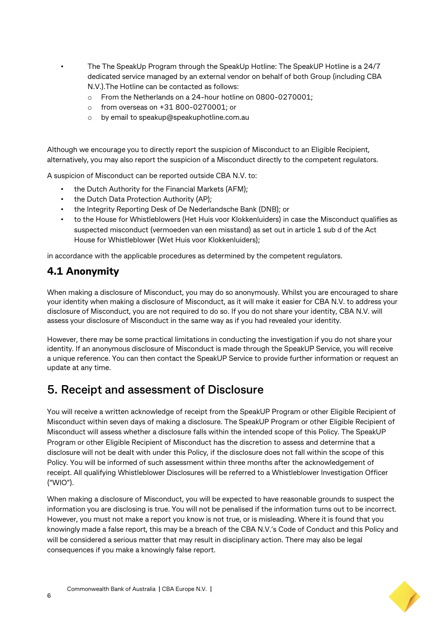• The The SpeakUp Program through the SpeakUp Hotline: The SpeakUP Hotline is a 24/7 dedicated service managed by an external vendor on behalf of both Group (including CBA N.V.).The Hotline can be contacted as follows:

- o From the Netherlands on a 24-hour hotline on 0800-0270001;
- o from overseas on +31 800-0270001; or
- o by email t[o speakup@speakuphotline.com.au](mailto:speakup@speakuphotline.com.au)

Although we encourage you to directly report the suspicion of Misconduct to an Eligible Recipient, alternatively, you may also report the suspicion of a Misconduct directly to the competent regulators.

A suspicion of Misconduct can be reported outside CBA N.V. to:

- the Dutch Authority for the Financial Markets (AFM);
- the Dutch Data Protection Authority (AP);
- the Integrity Reporting Desk of De Nederlandsche Bank (DNB); or
- to the House for Whistleblowers (Het Huis voor Klokkenluiders) in case the Misconduct qualifies as suspected misconduct (vermoeden van een misstand) as set out in article 1 sub d of the Act House for Whistleblower (Wet Huis voor Klokkenluiders);

in accordance with the applicable procedures as determined by the competent regulators.

#### <span id="page-5-0"></span>**4.1 Anonymity**

When making a disclosure of Misconduct, you may do so anonymously. Whilst you are encouraged to share your identity when making a disclosure of Misconduct, as it will make it easier for CBA N.V. to address your disclosure of Misconduct, you are not required to do so. If you do not share your identity, CBA N.V. will assess your disclosure of Misconduct in the same way as if you had revealed your identity.

However, there may be some practical limitations in conducting the investigation if you do not share your identity. If an anonymous disclosure of Misconduct is made through the SpeakUP Service, you will receive a unique reference. You can then contact the SpeakUP Service to provide further information or request an update at any time.

#### <span id="page-5-1"></span>**5. Receipt and assessment of Disclosure**

You will receive a written acknowledge of receipt from the SpeakUP Program or other Eligible Recipient of Misconduct within seven days of making a disclosure. The SpeakUP Program or other Eligible Recipient of Misconduct will assess whether a disclosure falls within the intended scope of this Policy. The SpeakUP Program or other Eligible Recipient of Misconduct has the discretion to assess and determine that a disclosure will not be dealt with under this Policy, if the disclosure does not fall within the scope of this Policy. You will be informed of such assessment within three months after the acknowledgement of receipt. All qualifying Whistleblower Disclosures will be referred to a Whistleblower Investigation Officer ("WIO").

When making a disclosure of Misconduct, you will be expected to have reasonable grounds to suspect the information you are disclosing is true. You will not be penalised if the information turns out to be incorrect. However, you must not make a report you know is not true, or is misleading. Where it is found that you knowingly made a false report, this may be a breach of the CBA N.V.'s Code of Conduct and this Policy and will be considered a serious matter that may result in disciplinary action. There may also be legal consequences if you make a knowingly false report.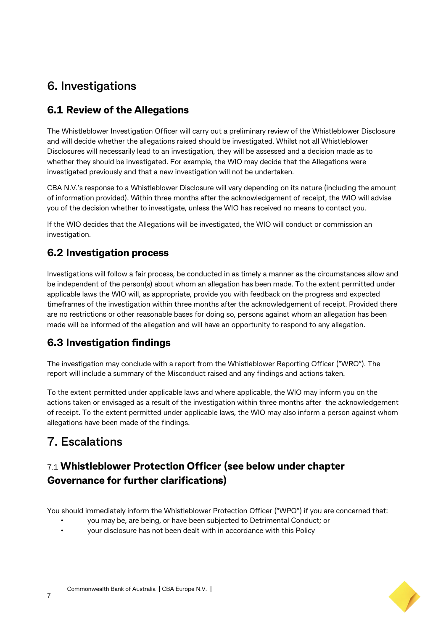## <span id="page-6-0"></span>**6. Investigations**

#### <span id="page-6-1"></span>**6.1 Review of the Allegations**

The Whistleblower Investigation Officer will carry out a preliminary review of the Whistleblower Disclosure and will decide whether the allegations raised should be investigated. Whilst not all Whistleblower Disclosures will necessarily lead to an investigation, they will be assessed and a decision made as to whether they should be investigated. For example, the WIO may decide that the Allegations were investigated previously and that a new investigation will not be undertaken.

CBA N.V.'s response to a Whistleblower Disclosure will vary depending on its nature (including the amount of information provided). Within three months after the acknowledgement of receipt, the WIO will advise you of the decision whether to investigate, unless the WIO has received no means to contact you.

If the WIO decides that the Allegations will be investigated, the WIO will conduct or commission an investigation.

#### <span id="page-6-2"></span>**6.2 Investigation process**

Investigations will follow a fair process, be conducted in as timely a manner as the circumstances allow and be independent of the person(s) about whom an allegation has been made. To the extent permitted under applicable laws the WIO will, as appropriate, provide you with feedback on the progress and expected timeframes of the investigation within three months after the acknowledgement of receipt. Provided there are no restrictions or other reasonable bases for doing so, persons against whom an allegation has been made will be informed of the allegation and will have an opportunity to respond to any allegation.

#### <span id="page-6-3"></span>**6.3 Investigation findings**

The investigation may conclude with a report from the Whistleblower Reporting Officer ("WRO"). The report will include a summary of the Misconduct raised and any findings and actions taken.

To the extent permitted under applicable laws and where applicable, the WIO may inform you on the actions taken or envisaged as a result of the investigation within three months after the acknowledgement of receipt. To the extent permitted under applicable laws, the WIO may also inform a person against whom allegations have been made of the findings.

## <span id="page-6-4"></span>**7. Escalations**

#### <span id="page-6-5"></span>7.1 **Whistleblower Protection Officer (see below under chapter Governance for further clarifications)**

You should immediately inform the Whistleblower Protection Officer ("WPO") if you are concerned that:

- you may be, are being, or have been subjected to Detrimental Conduct; or
- your disclosure has not been dealt with in accordance with this Policy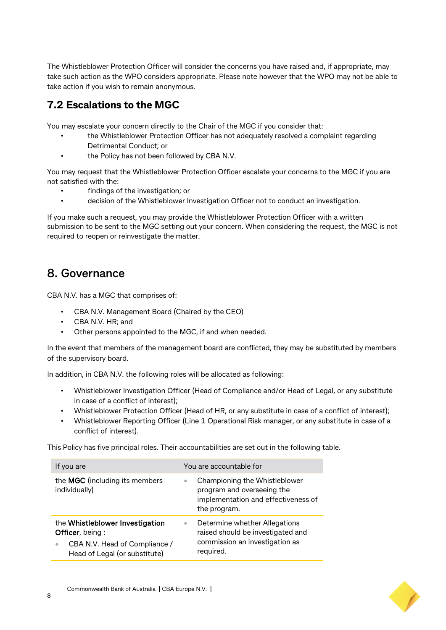The Whistleblower Protection Officer will consider the concerns you have raised and, if appropriate, may take such action as the WPO considers appropriate. Please note however that the WPO may not be able to take action if you wish to remain anonymous.

#### <span id="page-7-0"></span>**7.2 Escalations to the MGC**

You may escalate your concern directly to the Chair of the MGC if you consider that:

- the Whistleblower Protection Officer has not adequately resolved a complaint regarding Detrimental Conduct; or
- the Policy has not been followed by CBA N.V.

You may request that the Whistleblower Protection Officer escalate your concerns to the MGC if you are not satisfied with the:

- findings of the investigation; or
- decision of the Whistleblower Investigation Officer not to conduct an investigation.

If you make such a request, you may provide the Whistleblower Protection Officer with a written submission to be sent to the MGC setting out your concern. When considering the request, the MGC is not required to reopen or reinvestigate the matter.

#### <span id="page-7-1"></span>**8. Governance**

CBA N.V. has a MGC that comprises of:

- CBA N.V. Management Board (Chaired by the CEO)
- CBA N.V. HR; and
- Other persons appointed to the MGC, if and when needed.

In the event that members of the management board are conflicted, they may be substituted by members of the supervisory board.

In addition, in CBA N.V. the following roles will be allocated as following:

- Whistleblower Investigation Officer (Head of Compliance and/or Head of Legal, or any substitute in case of a conflict of interest);
- Whistleblower Protection Officer (Head of HR, or any substitute in case of a conflict of interest);
- Whistleblower Reporting Officer (Line 1 Operational Risk manager, or any substitute in case of a conflict of interest).

This Policy has five principal roles. Their accountabilities are set out in the following table.

| If you are                                                                                                           |                        | You are accountable for                                                                                            |
|----------------------------------------------------------------------------------------------------------------------|------------------------|--------------------------------------------------------------------------------------------------------------------|
| the MGC (including its members<br>individually)                                                                      | $\bullet$              | Championing the Whistleblower<br>program and overseeing the<br>implementation and effectiveness of<br>the program. |
| the Whistleblower Investigation<br>Officer, being:<br>CBA N.V. Head of Compliance /<br>Head of Legal (or substitute) | $\bullet$<br>required. | Determine whether Allegations<br>raised should be investigated and<br>commission an investigation as               |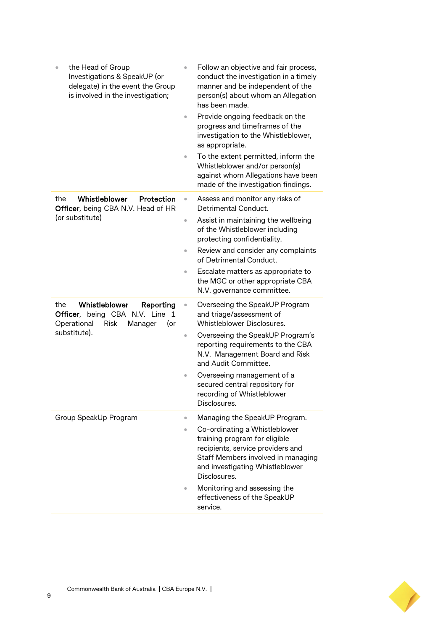| the Head of Group<br>$\ddot{\phantom{a}}$<br>Investigations & SpeakUP (or<br>delegate) in the event the Group<br>is involved in the investigation; | $\ddot{\phantom{a}}$<br>$\bullet$   | Follow an objective and fair process,<br>conduct the investigation in a timely<br>manner and be independent of the<br>person(s) about whom an Allegation<br>has been made.<br>Provide ongoing feedback on the<br>progress and timeframes of the<br>investigation to the Whistleblower,<br>as appropriate.<br>To the extent permitted, inform the |
|----------------------------------------------------------------------------------------------------------------------------------------------------|-------------------------------------|--------------------------------------------------------------------------------------------------------------------------------------------------------------------------------------------------------------------------------------------------------------------------------------------------------------------------------------------------|
|                                                                                                                                                    |                                     | Whistleblower and/or person(s)<br>against whom Allegations have been<br>made of the investigation findings.                                                                                                                                                                                                                                      |
| Whistleblower<br>Protection<br>the<br>Officer, being CBA N.V. Head of HR<br>(or substitute)                                                        | $\bullet$<br>$\bullet$<br>$\bullet$ | Assess and monitor any risks of<br>Detrimental Conduct.<br>Assist in maintaining the wellbeing<br>of the Whistleblower including<br>protecting confidentiality.<br>Review and consider any complaints                                                                                                                                            |
|                                                                                                                                                    | $\bullet$                           | of Detrimental Conduct.<br>Escalate matters as appropriate to<br>the MGC or other appropriate CBA<br>N.V. governance committee.                                                                                                                                                                                                                  |
| Whistleblower<br>the<br>Reporting<br>Officer, being CBA N.V. Line 1<br>Operational<br>Risk<br>Manager<br>(or<br>substitute).                       | $\bullet$<br>۰                      | Overseeing the SpeakUP Program<br>and triage/assessment of<br>Whistleblower Disclosures.<br>Overseeing the SpeakUP Program's<br>reporting requirements to the CBA<br>N.V. Management Board and Risk<br>and Audit Committee.<br>Overseeing management of a<br>secured central repository for<br>recording of Whistleblower<br>Disclosures.        |
| Group SpeakUp Program                                                                                                                              | ۰<br>$\bullet$                      | Managing the SpeakUP Program.<br>Co-ordinating a Whistleblower<br>training program for eligible<br>recipients, service providers and<br>Staff Members involved in managing<br>and investigating Whistleblower<br>Disclosures.<br>Monitoring and assessing the<br>effectiveness of the SpeakUP<br>service.                                        |

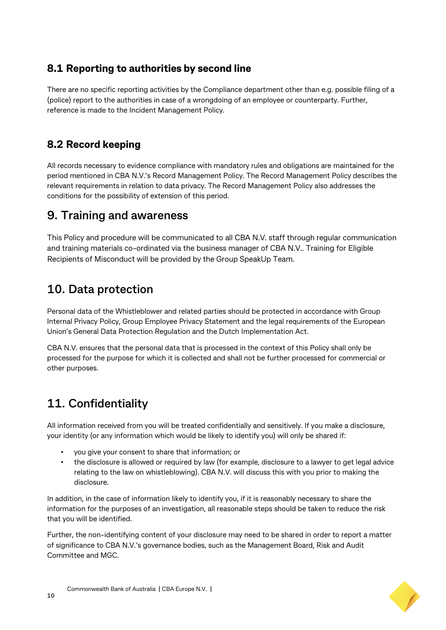#### <span id="page-9-0"></span>**8.1 Reporting to authorities by second line**

There are no specific reporting activities by the Compliance department other than e.g. possible filing of a (police) report to the authorities in case of a wrongdoing of an employee or counterparty. Further, reference is made to the Incident Management Policy.

#### <span id="page-9-1"></span>**8.2 Record keeping**

All records necessary to evidence compliance with mandatory rules and obligations are maintained for the period mentioned in CBA N.V.'s Record Management Policy. The Record Management Policy describes the relevant requirements in relation to data privacy. The Record Management Policy also addresses the conditions for the possibility of extension of this period.

#### <span id="page-9-2"></span>**9. Training and awareness**

This Policy and procedure will be communicated to all CBA N.V. staff through regular communication and training materials co-ordinated via the business manager of CBA N.V.. Training for Eligible Recipients of Misconduct will be provided by the Group SpeakUp Team.

## <span id="page-9-3"></span>**10. Data protection**

Personal data of the Whistleblower and related parties should be protected in accordance with Group Internal Privacy Policy, Group Employee Privacy Statement and the legal requirements of the European Union's General Data Protection Regulation and the Dutch Implementation Act.

CBA N.V. ensures that the personal data that is processed in the context of this Policy shall only be processed for the purpose for which it is collected and shall not be further processed for commercial or other purposes.

## <span id="page-9-4"></span>**11. Confidentiality**

All information received from you will be treated confidentially and sensitively. If you make a disclosure, your identity (or any information which would be likely to identify you) will only be shared if:

- you give your consent to share that information; or
- the disclosure is allowed or required by law (for example, disclosure to a lawyer to get legal advice relating to the law on whistleblowing). CBA N.V. will discuss this with you prior to making the disclosure.

In addition, in the case of information likely to identify you, if it is reasonably necessary to share the information for the purposes of an investigation, all reasonable steps should be taken to reduce the risk that you will be identified.

Further, the non-identifying content of your disclosure may need to be shared in order to report a matter of significance to CBA N.V.'s governance bodies, such as the Management Board, Risk and Audit Committee and MGC.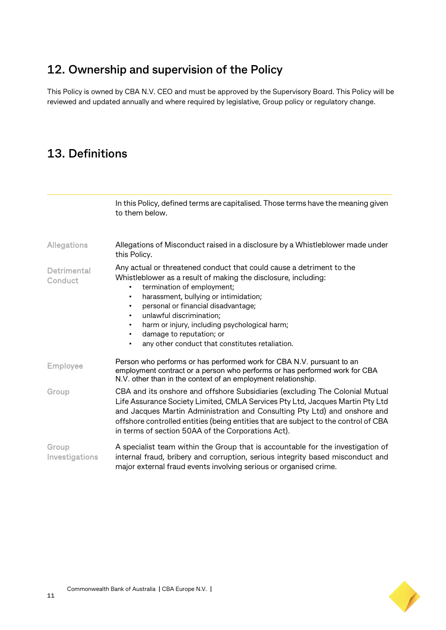## <span id="page-10-0"></span>**12. Ownership and supervision of the Policy**

This Policy is owned by CBA N.V. CEO and must be approved by the Supervisory Board. This Policy will be reviewed and updated annually and where required by legislative, Group policy or regulatory change.

#### <span id="page-10-1"></span>**13. Definitions**

|                         | In this Policy, defined terms are capitalised. Those terms have the meaning given<br>to them below.                                                                                                                                                                                                                                                                                                                                                                    |
|-------------------------|------------------------------------------------------------------------------------------------------------------------------------------------------------------------------------------------------------------------------------------------------------------------------------------------------------------------------------------------------------------------------------------------------------------------------------------------------------------------|
| <b>Allegations</b>      | Allegations of Misconduct raised in a disclosure by a Whistleblower made under<br>this Policy.                                                                                                                                                                                                                                                                                                                                                                         |
| Detrimental<br>Conduct  | Any actual or threatened conduct that could cause a detriment to the<br>Whistleblower as a result of making the disclosure, including:<br>termination of employment;<br>harassment, bullying or intimidation;<br>٠<br>personal or financial disadvantage;<br>٠<br>unlawful discrimination;<br>٠<br>harm or injury, including psychological harm;<br>$\bullet$<br>damage to reputation; or<br>$\bullet$<br>any other conduct that constitutes retaliation.<br>$\bullet$ |
| <b>Employee</b>         | Person who performs or has performed work for CBA N.V. pursuant to an<br>employment contract or a person who performs or has performed work for CBA<br>N.V. other than in the context of an employment relationship.                                                                                                                                                                                                                                                   |
| Group                   | CBA and its onshore and offshore Subsidiaries (excluding The Colonial Mutual<br>Life Assurance Society Limited, CMLA Services Pty Ltd, Jacques Martin Pty Ltd<br>and Jacques Martin Administration and Consulting Pty Ltd) and onshore and<br>offshore controlled entities (being entities that are subject to the control of CBA<br>in terms of section 50AA of the Corporations Act).                                                                                |
| Group<br>Investigations | A specialist team within the Group that is accountable for the investigation of<br>internal fraud, bribery and corruption, serious integrity based misconduct and<br>major external fraud events involving serious or organised crime.                                                                                                                                                                                                                                 |